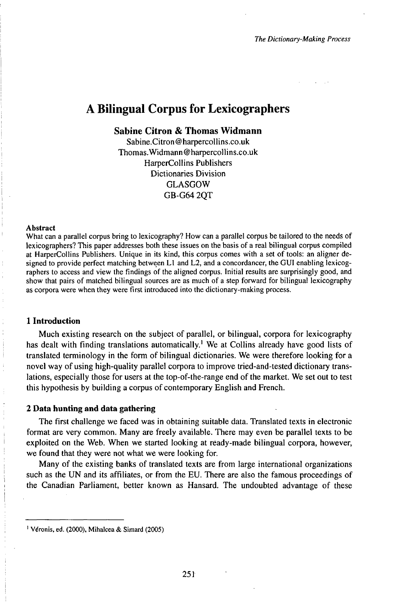# A Bilingual Corpus for Lexicographers

# **Sabine Citron & Thomas Widmann**

Sabine.Citron @ harpercollins.co.uk Thomas.Widmann@harpercollins.co.uk HarperCollins Publishers Dictionaries Division GLASGOW GB-G64 2QT

#### Abstract

What can a parallel corpus bring to lexicography? How can a parallel corpus be tailored to the needs of lexicographers? This paper addresses both these issues on the basis of a real bilingual corpus compiled at HarperCollins Publishers. Unique in its kind, this corpus comes with a set of tools: an aligner designed to provide perfect matching betwęen L1 and L2, and <sup>a</sup> concordancer, the GUI enabling lexicographers to access and view the findings of the aligned corpus. Initial results are surprisingly good, and show that pairs of matched bilingual sources are as much of a step forward for bilingual lexicography as corpora were when they were first introduced into the dictionary-making process.

#### **1 Introduction**

Much existing research on the subject of parallel, or bilingual, corpora for lexicography has dealt with finding translations automatically.<sup>1</sup> We at Collins already have good lists of translated terminology in the form of bilingual dictionaries. We were therefore looking for a novel way of using high-quality parallel corpora to improve tried-and-tested dictionary translations, especially those for users at the top-of-the-range end of the market. We set out to test this hypothesis by building a corpus of contemporary English and French.

### **2 Data hunting and data gathering**

The first challenge we faced was in obtaining suitable data. Translated texts in electronic format are very common. Many are freely available. There may even be parallel texts to be exploited on the Web. When we started looking at rëady-made bilingual corpora, however, we found that they were not what we were looking for.

Many of the existing banks of translated texts are from large international organizations such as the UN and its affiliates, or from the EU. There are also the famous proceedings of the Canadian Parliament, better known as Hansard. The undoubted advantage of these

Véronis, ed. (2000), Mihalcea & Simard (2005)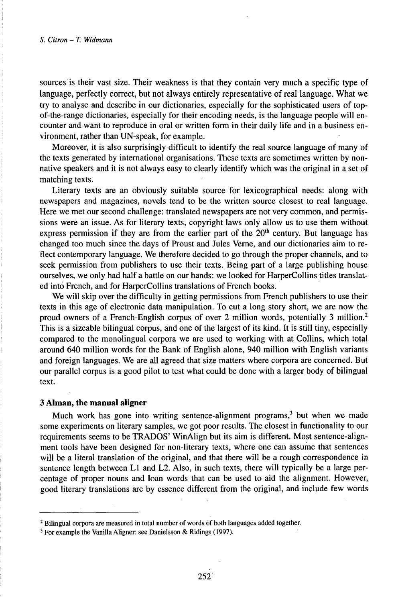sources is their vast size. Their weakness is that they contain very much a specific type of language, perfectly correct, but not always entirely representative of real language. What we try to analyse and describe in our dictionaries, especially for the sophisticated users of topof-the-range dictionaries, especially for their encoding needs, is the language people will encounter and want to reproduce in oral or written form in their daily life and in a business environment, rather than UN-speak, for example.

Moreover, it is also surprisingly difficult to identify the real source language of many of the texts generated by international organisations. These texts are sometimes written by nonnative speakers and it is not always easy to clearly identify which was the original in a set of matching texts.

Literary texts are an obviously suitable source for lexicographical needs: along with newspapers and magazines, novels tend to be the written source closest to real language. Here we met our second challenge: translated newspapers are not very common, and permissions were an issue. As for literary texts, copyright laws only allow us to use them without express permission if they are from the earlier part of the  $20<sup>th</sup>$  century. But language has changed too much since the days of Proust and Jules Verne, and our dictionaries aim to reflect contemporary language. We therefore decided to go through the proper channels, and to seek permission from publishers to use their texts. Being part of a large publishing house ourselves, we only had half a battle on our hands: we looked for HarperCollins titles translated into French, and for HarperCollins translations of French books.

We will skip over the difficulty in getting permissions from French publishers to use their texts in this age of electronic data manipulation. To cut a long story short, we are now the proud owners of a French-English corpus of over 2 million words, potentially <sup>3</sup> million.<sup>2</sup> This is a sizeable bilingual corpus, and one of the largest of its kind. It is still tiny, especially compared to the monolingual corpora we are used to working with at Collins, which total around 640 million words for the Bank of English alone, 940 million with English variants and foreign languages. We are all agreed that size matters where corpora are concerned. But our parallel corpus is a good pilot to test what could be done with a larger body of bilingual text.

### **3 Alman, the manual aligner**

Much work has gone into writing sentence-alignment programs,<sup>3</sup> but when we made some experiments on literary samples, we got poor results. The closest in functionality to our requirements seems to be TRADOS' WinAlign but its aim is different. Most sentence-alignment tools have been designed for non-literary texts, where one can assume that sentences will be a literal translation of the original, and that there will be a rough correspondence in sentence length between L1 and L2. Also, in such texts, there will typically be a large percentage of proper nouns and loan words that can be used to aid the alignment. However, good literary translations are by essence different from the original, and include few words

<sup>2</sup> Bilingual corpora are measured in total number of words òf both languages added together.

<sup>3</sup> For example the Vanilla Aligner: see Danielsson & Ridings (1997).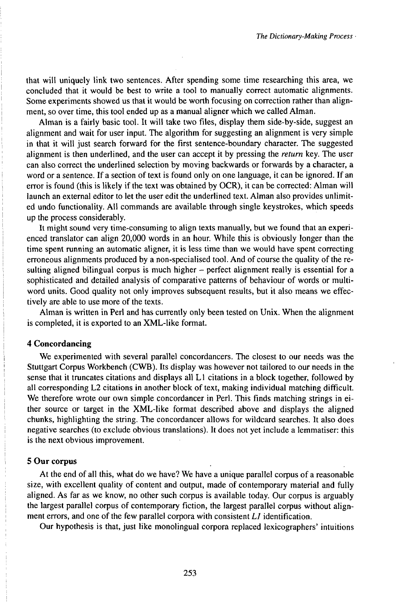that will uniquely link two sentences. After spending some time researching this area, we concluded that it would be best to write a tool to manually correct automatic alignments. Some experiments showed us that it would be worth focusing on correction rather than alignment, so over time, this tool ended up as a manual aligner which we called Alman.

Alman is a fairly basic tool. It will take two files, display them side-by-side, suggest an alignment and wait for user input. The algorithm for suggesting an alignment is very simple in that it will just search forward for the first sentence-boundary character. The suggested alignment is then underlined, and the user can accept it by pressing the *return* key. The user can also correct the underlined selection by moving backwards or forwards by a character, a word or a sentence. If a section of text is found only on one language, it can be ignored. If an error is found (this is likely if the text was obtained by OCR), it can be corrected: Alman will launch an external editor to let the user edit the underlined text. Alman also provides unlimited undo functionality. All commands are available through single keystrokes, which speeds up the process considerably.

It might sound very time-consuming to align texts manually, but we found that an experienced translator can align 20,000 words in an hour. While this is obviously longer than the time spent running an automatic aligner, it is less time than we would have spent correcting erroneous alignments produced by a non-specialised tool. And of course the quality of the resulting aligned bilingual corpus is much higher  $-$  perfect alignment really is essential for a sophisticated and detailed analysis of comparative patterns of behaviour of words or multiword units. Good quality not only improves subsequent results, but it also means we effectively are able to use more of the texts.

Alman is written in Perl and has currently only been tested on Unix. When the alignment is completed, it is exported to an XML-like format.

## **4 Concordancing**

We experimented with several parallel concordancers. The closest to our needs was the Stuttgart Corpus Workbench (CWB). Its display was however not tailored to our needs in the sense that it truncates citations and displays all L1 citations in a block together, followed by all corresponding L2 citations in another block of text, making individual matching difficult. We therefore wrote our own simple concordancer in Perl. This finds matching strings in either source or target in the XML-like format described above and displays the aligned chunks, highlighting the string. The concordancer allows for wildcard searches. It also does negative searches (to exclude obvious translations). It does not yet include a lemmatiser: this is the next obvious improvement.

## **5 Our corpus**

At the end of all this, what do we have? We have a unique parallel corpus of a reasonable size, with excellent quality of content and output, made of contemporary material and fully aligned. As far as we know, no other such corpus is available today. Our corpus is arguably the largest parallel corpus of contemporary fiction, the largest parallel corpus without alignment errors, and one of the few parallel corpora with consistent *L1* identification.

Our hypothesis is that, just like monolingual corpora replaced lexicographers' intuitions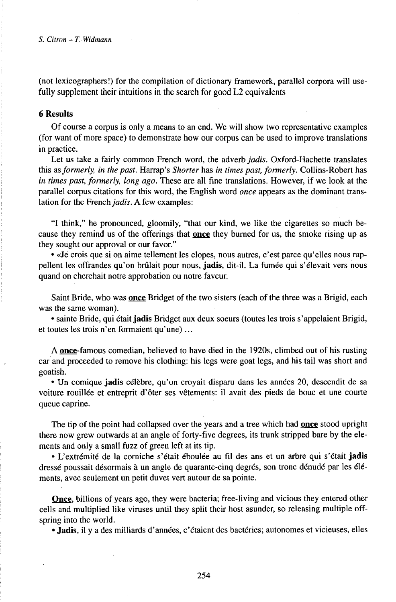(not lexicographers!) for the compilation of dictionary framework, parallel corpora will usefully supplement their intuitions in the search for good L2 equivalents

## **6 Results**

Of course a corpus is only a means to an end. We will show two representative examples (for want of more space) to demonstrate how our corpus can be used to improve translations in practice.

Let us take a fairly common French word, the adverb *jadis.* Oxford-Hachette translates this *d&formerly, in the past.* Harrap's *Shorter* has *in times past, formerly.* Collins-Robert has *in times past, formerly, long ago.* These are all fine translations. However, if we look at the parallel corpus citations for this word, the English word *once* appears as the dominant translation for the French *jadis*. A few examples:

"I think," he pronounced, gloomily, "that our kind, we like the cigarettes so much because they remind us of the offerings that **once** they burned for us, the smoke rising up as they sought our approval or our favor."

• «Je crois que si on aime tellement les clopes, nous autres, c'est parce qu'elles nous rappellent les offrandes qu'on brûlait pour nous, **jadis,** dit-il. La fumée qui s'élevait vers nous quand on cherchait notre approbation ou notre faveur.

Saint Bride, who was **once** Bridget of the two sisters (each of the three was a Brigid, each was the same woman).

• sainte Bride, qui était jadis Bridget aux deux soeurs (toutes les trois s'appelaient Brigid, et toutes les trois n'en formaient qu'une)...

A **once-**famous comedian, believed to have died in the 1920s, climbed out of his rusting car and proceeded to remove his clothing: his legs were goat legs, and his tail was short and goatish.

• Un comique **jadis** célèbre, qu'on croyait disparu dans les années 20, descendit de sa voiture rouillée et entreprit d'ôter ses vêtements: il avait des pieds de bouc et une courte queue caprine.

The tip of the point had collapsed over the years and a tree which had **once** stood upright there now grew outwards at an angle of forty-five degrees, its trunk stripped bare by the elements and only a small fuzz of green left at its tip.

• L'extrémité de la corniche s'était éboulée au fil des ans et un arbre qui s'était **jadis** dressé poussait désormais à un angle de quarante-cinq degrés, son tronc dénudé par les éléments, avec seulement un petit duvet vert autour de sa pointe.

**Once,** billions of years ago, they were bacteria; free-living and vicious they entered other cells and multiplied like viruses until they split their host asunder, so releasing multiple offspring into the world.

• **Jadis,** il y a des milliards d'années, c'étaient des bactéries; autonomes et vicieuses, elles